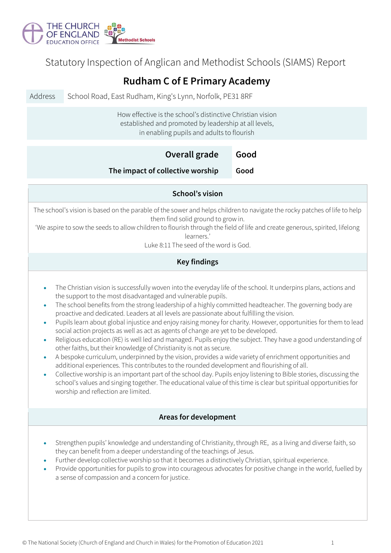

Statutory Inspection of Anglican and Methodist Schools (SIAMS) Report

| <b>Rudham C of E Primary Academy</b>                                                                                                                                                                                                                                                                                                                                                                                                                                                                                                                                                                                                                                                                                                                                                                                                                                                                                                                                                                                                                                                                                                                                                                                                                                                                                                                       |                                                          |      |  |  |  |
|------------------------------------------------------------------------------------------------------------------------------------------------------------------------------------------------------------------------------------------------------------------------------------------------------------------------------------------------------------------------------------------------------------------------------------------------------------------------------------------------------------------------------------------------------------------------------------------------------------------------------------------------------------------------------------------------------------------------------------------------------------------------------------------------------------------------------------------------------------------------------------------------------------------------------------------------------------------------------------------------------------------------------------------------------------------------------------------------------------------------------------------------------------------------------------------------------------------------------------------------------------------------------------------------------------------------------------------------------------|----------------------------------------------------------|------|--|--|--|
| Address                                                                                                                                                                                                                                                                                                                                                                                                                                                                                                                                                                                                                                                                                                                                                                                                                                                                                                                                                                                                                                                                                                                                                                                                                                                                                                                                                    | School Road, East Rudham, King's Lynn, Norfolk, PE31 8RF |      |  |  |  |
| How effective is the school's distinctive Christian vision<br>established and promoted by leadership at all levels,<br>in enabling pupils and adults to flourish                                                                                                                                                                                                                                                                                                                                                                                                                                                                                                                                                                                                                                                                                                                                                                                                                                                                                                                                                                                                                                                                                                                                                                                           |                                                          |      |  |  |  |
|                                                                                                                                                                                                                                                                                                                                                                                                                                                                                                                                                                                                                                                                                                                                                                                                                                                                                                                                                                                                                                                                                                                                                                                                                                                                                                                                                            | Overall grade                                            | Good |  |  |  |
|                                                                                                                                                                                                                                                                                                                                                                                                                                                                                                                                                                                                                                                                                                                                                                                                                                                                                                                                                                                                                                                                                                                                                                                                                                                                                                                                                            | The impact of collective worship                         | Good |  |  |  |
| School's vision                                                                                                                                                                                                                                                                                                                                                                                                                                                                                                                                                                                                                                                                                                                                                                                                                                                                                                                                                                                                                                                                                                                                                                                                                                                                                                                                            |                                                          |      |  |  |  |
| The school's vision is based on the parable of the sower and helps children to navigate the rocky patches of life to help<br>them find solid ground to grow in.<br>'We aspire to sow the seeds to allow children to flourish through the field of life and create generous, spirited, lifelong<br>learners.'<br>Luke 8:11 The seed of the word is God.                                                                                                                                                                                                                                                                                                                                                                                                                                                                                                                                                                                                                                                                                                                                                                                                                                                                                                                                                                                                     |                                                          |      |  |  |  |
| <b>Key findings</b>                                                                                                                                                                                                                                                                                                                                                                                                                                                                                                                                                                                                                                                                                                                                                                                                                                                                                                                                                                                                                                                                                                                                                                                                                                                                                                                                        |                                                          |      |  |  |  |
| The Christian vision is successfully woven into the everyday life of the school. It underpins plans, actions and<br>$\bullet$<br>the support to the most disadvantaged and vulnerable pupils.<br>The school benefits from the strong leadership of a highly committed headteacher. The governing body are<br>$\bullet$<br>proactive and dedicated. Leaders at all levels are passionate about fulfilling the vision.<br>Pupils learn about global injustice and enjoy raising money for charity. However, opportunities for them to lead<br>$\bullet$<br>social action projects as well as act as agents of change are yet to be developed.<br>Religious education (RE) is well led and managed. Pupils enjoy the subject. They have a good understanding of<br>$\bullet$<br>other faiths, but their knowledge of Christianity is not as secure.<br>A bespoke curriculum, underpinned by the vision, provides a wide variety of enrichment opportunities and<br>$\bullet$<br>additional experiences. This contributes to the rounded development and flourishing of all.<br>Collective worship is an important part of the school day. Pupils enjoy listening to Bible stories, discussing the<br>school's values and singing together. The educational value of this time is clear but spiritual opportunities for<br>worship and reflection are limited. |                                                          |      |  |  |  |
|                                                                                                                                                                                                                                                                                                                                                                                                                                                                                                                                                                                                                                                                                                                                                                                                                                                                                                                                                                                                                                                                                                                                                                                                                                                                                                                                                            | Areas for development                                    |      |  |  |  |
| Strengthen pupils' knowledge and understanding of Christianity, through RE, as a living and diverse faith, so<br>they can benefit from a deeper understanding of the teachings of Jesus.<br>Further develop collective worship so that it becomes a distinctively Christian, spiritual experience.<br>$\bullet$<br>Provide opportunities for pupils to grow into courageous advocates for positive change in the world, fuelled by<br>$\bullet$<br>a sense of compassion and a concern for justice.                                                                                                                                                                                                                                                                                                                                                                                                                                                                                                                                                                                                                                                                                                                                                                                                                                                        |                                                          |      |  |  |  |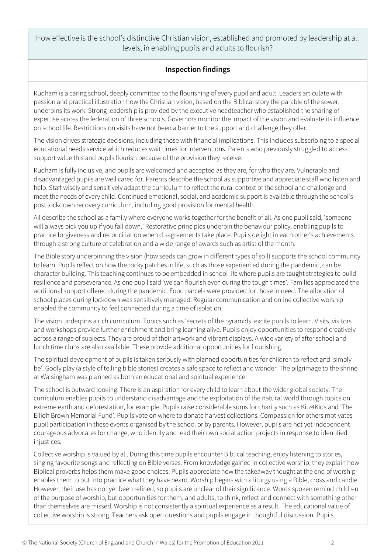How effective is the school's distinctive Christian vision, established and promoted by leadership at all levels, in enabling pupils and adults to flourish?

## **Inspection findings**

Rudham is a caring school, deeply committed to the flourishing of every pupil and adult. Leaders articulate with passion and practical illustration how the Christian vision, based on the Biblical story the parable of the sower, underpins its work. Strong leadership is provided by the executive headteacher who established the sharing of expertise across the federation of three schools. Governors monitor the impact of the vision and evaluate its influence on school life. Restrictions on visits have not been a barrier to the support and challenge they offer.

The vision drives strategic decisions, including those with financial implications. This includes subscribing to a special educational needs service which reduces wait times for interventions. Parents who previously struggled to access support value this and pupils flourish because of the provision they receive.

Rudham is fully inclusive, and pupils are welcomed and accepted as they are, for who they are. Vulnerable and disadvantaged pupils are well cared for. Parents describe the school as supportive and appreciate staff who listen and help. Staff wisely and sensitively adapt the curriculum to reflect the rural context of the school and challenge and meet the needs of every child. Continued emotional, social, and academic support is available through the school's post lockdown recovery curriculum, including good provision for mental health.

All describe the school as a family where everyone works together for the benefit of all. As one pupil said, 'someone will always pick you up if you fall down.' Restorative principles underpin the behaviour policy, enabling pupils to practice forgiveness and reconciliation when disagreements take place. Pupils delight in each other's achievements through a strong culture of celebration and a wide range of awards such as artist of the month.

The Bible story underpinning the vision (how seeds can grow in different types of soil) supports the school community to learn. Pupils reflect on how the rocky patches in life, such as those experienced during the pandemic, can be character building. This teaching continues to be embedded in school life where pupils are taught strategies to build resilience and perseverance. As one pupil said 'we can flourish even during the tough times'. Families appreciated the additional support offered during the pandemic. Food parcels were provided for those in need. The allocation of school places during lockdown was sensitively managed. Regular communication and online collective worship enabled the community to feel connected during a time of isolation.

The vision underpins a rich curriculum. Topics such as 'secrets of the pyramids' excite pupils to learn. Visits, visitors and workshops provide further enrichment and bring learning alive. Pupils enjoy opportunities to respond creatively across a range of subjects. They are proud of their artwork and vibrant displays. A wide variety of after school and lunch time clubs are also available. These provide additional opportunities for flourishing.

The spiritual development of pupils is taken seriously with planned opportunities for children to reflect and 'simply be'. Godly play (a style of telling bible stories) creates a safe space to reflect and wonder. The pilgrimage to the shrine at Walsingham was planned as both an educational and spiritual experience.

The school is outward looking. There is an aspiration for every child to learn about the wider global society. The curriculum enables pupils to understand disadvantage and the exploitation of the natural world through topics on extreme earth and deforestation, for example. Pupils raise considerable sums for charity such as Kitz4Kids and 'The Eilidh Brown Memorial Fund'. Pupils vote on where to donate harvest collections. Compassion for others motivates pupil participation in these events organised by the school or by parents. However, pupils are not yet independent courageous advocates for change, who identify and lead their own social action projects in response to identified injustices.

Collective worship is valued by all. During this time pupils encounter Biblical teaching, enjoy listening to stories, singing favourite songs and reflecting on Bible verses. From knowledge gained in collective worship, they explain how Biblical proverbs helps them make good choices. Pupils appreciate how the takeaway thought at the end of worship enables them to put into practice what they have heard. Worship begins with a liturgy using a Bible, cross and candle. However, their use has not yet been refined, so pupils are unclear of their significance. Words spoken remind children of the purpose of worship, but opportunities for them, and adults, to think, reflect and connect with something other than themselves are missed. Worship is not consistently a spiritual experience as a result. The educational value of collective worship is strong. Teachers ask open questions and pupils engage in thoughtful discussion. Pupils